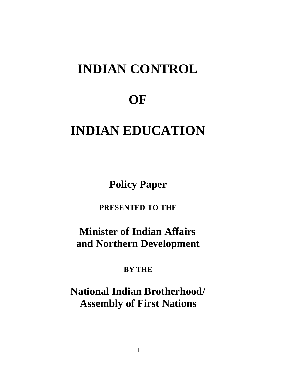# **INDIAN CONTROL**

# **OF**

# **INDIAN EDUCATION**

**Policy Paper**

**PRESENTED TO THE**

**Minister of Indian Affairs and Northern Development**

**BY THE**

**National Indian Brotherhood/ Assembly of First Nations**

i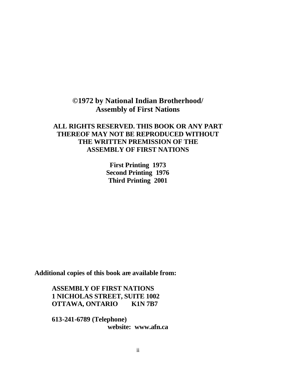#### **©1972 by National Indian Brotherhood/ Assembly of First Nations**

#### **ALL RIGHTS RESERVED. THIS BOOK OR ANY PART THEREOF MAY NOT BE REPRODUCED WITHOUT THE WRITTEN PREMISSION OF THE ASSEMBLY OF FIRST NATIONS**

**First Printing 1973 Second Printing 1976 Third Printing 2001**

**Additional copies of this book are available from:**

**ASSEMBLY OF FIRST NATIONS 1 NICHOLAS STREET, SUITE 1002 OTTAWA, ONTARIO K1N 7B7**

**613-241-6789 (Telephone) website: www.afn.ca**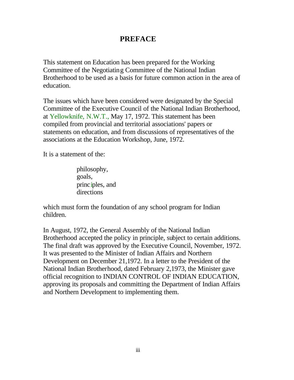# **PREFACE**

This statement on Education has been prepared for the Working Committee of the Negotiating Committee of the National Indian Brotherhood to be used as a basis for future common action in the area of education.

The issues which have been considered were designated by the Special Committee of the Executive Council of the National Indian Brotherhood, at Yellowknife, N.W.T., May 17, 1972. This statement has been compiled from provincial and territorial associations' papers or statements on education, and from discussions of representatives of the associations at the Education Workshop, June, 1972.

It is a statement of the:

philosophy, goals, principles, and directions

which must form the foundation of any school program for Indian children.

In August, 1972, the General Assembly of the National Indian Brotherhood accepted the policy in principle, subject to certain additions. The final draft was approved by the Executive Council, November, 1972. It was presented to the Minister of Indian Affairs and Northern Development on December 21,1972. In a letter to the President of the National Indian Brotherhood, dated February 2,1973, the Minister gave official recognition to INDIAN CONTROL OF INDIAN EDUCATION, approving its proposals and committing the Department of Indian Affairs and Northern Development to implementing them.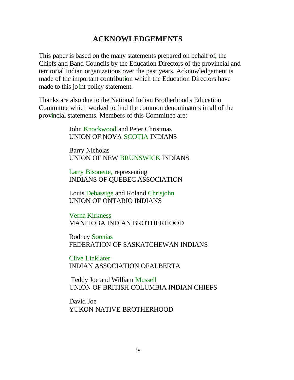# **ACKNOWLEDGEMENTS**

This paper is based on the many statements prepared on behalf of, the Chiefs and Band Councils by the Education Directors of the provincial and territorial Indian organizations over the past years. Acknowledgement is made of the important contribution which the Education Directors have made to this joint policy statement.

Thanks are also due to the National Indian Brotherhood's Education Committee which worked to find the common denominators in all of the provincial statements. Members of this Committee are:

> John Knockwood and Peter Christmas UNION OF NOVA SCOTIA INDIANS

Barry Nicholas UNION OF NEW BRUNSWICK INDIANS

Larry Bisonette, representing INDIANS OF QUEBEC ASSOCIATION

Louis Debassige and Roland Chrisjohn UNION OF ONTARIO INDIANS

Verna Kirkness MANITOBA INDIAN BROTHERHOOD

Rodney Soonias FEDERATION OF SASKATCHEWAN INDIANS

Clive Linklater INDIAN ASSOCIATION OFALBERTA

Teddy Joe and William Mussell UNION OF BRITISH COLUMBIA INDIAN CHIEFS

David Joe YUKON NATIVE BROTHERHOOD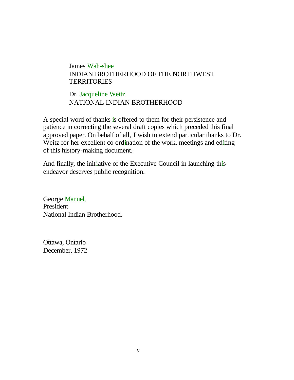#### James Wah-shee INDIAN BROTHERHOOD OF THE NORTHWEST **TERRITORIES**

Dr. Jacqueline Weitz NATIONAL INDIAN BROTHERHOOD

A special word of thanks is offered to them for their persistence and patience in correcting the several draft copies which preceded this final approved paper. On behalf of all, I wish to extend particular thanks to Dr. Weitz for her excellent co-ordination of the work, meetings and editing of this history-making document.

And finally, the initiative of the Executive Council in launching this endeavor deserves public recognition.

George Manuel, President National Indian Brotherhood.

Ottawa, Ontario December, 1972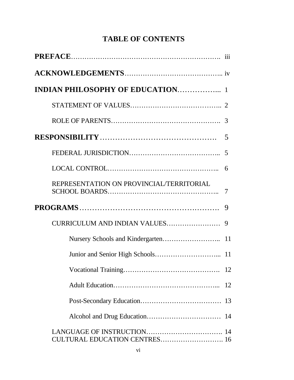# **TABLE OF CONTENTS**

|                                          | 5 |
|------------------------------------------|---|
|                                          |   |
|                                          |   |
| REPRESENTATION ON PROVINCIAL/TERRITORIAL | 7 |
|                                          | 9 |
| CURRICULUM AND INDIAN VALUES             | 9 |
|                                          |   |
|                                          |   |
|                                          |   |
|                                          |   |
|                                          |   |
|                                          |   |
| CULTURAL EDUCATION CENTRES 16            |   |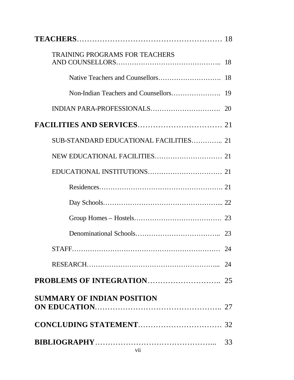| <b>TRAINING PROGRAMS FOR TEACHERS</b>  |    |
|----------------------------------------|----|
|                                        |    |
|                                        |    |
|                                        |    |
|                                        |    |
| SUB-STANDARD EDUCATIONAL FACILITIES 21 |    |
|                                        |    |
|                                        |    |
|                                        |    |
|                                        |    |
|                                        |    |
|                                        |    |
|                                        |    |
|                                        |    |
|                                        |    |
| <b>SUMMARY OF INDIAN POSITION</b>      |    |
|                                        |    |
|                                        | 33 |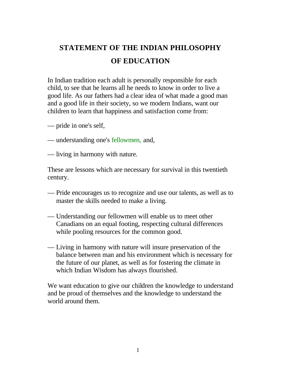# **STATEMENT OF THE INDIAN PHILOSOPHY OF EDUCATION**

In Indian tradition each adult is personally responsible for each child, to see that he learns all he needs to know in order to live a good life. As our fathers had a clear idea of what made a good man and a good life in their society, so we modern Indians, want our children to learn that happiness and satisfaction come from:

- pride in one's self,
- understanding one's fellowmen, and,

— living in harmony with nature.

These are lessons which are necessary for survival in this twentieth century.

- Pride encourages us to recognize and use our talents, as well as to master the skills needed to make a living.
- Understanding our fellowmen will enable us to meet other Canadians on an equal footing, respecting cultural differences while pooling resources for the common good.
- Living in harmony with nature will insure preservation of the balance between man and his environment which is necessary for the future of our planet, as well as for fostering the climate in which Indian Wisdom has always flourished.

We want education to give our children the knowledge to understand and be proud of themselves and the knowledge to understand the world around them.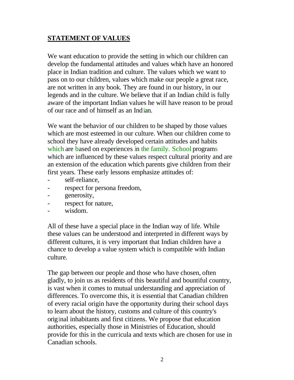### **STATEMENT OF VALUES**

We want education to provide the setting in which our children can develop the fundamental attitudes and values which have an honored place in Indian tradition and culture. The values which we want to pass on to our children, values which make our people a great race, are not written in any book. They are found in our history, in our legends and in the culture. We believe that if an Indian child is fully aware of the important Indian values he will have reason to be proud of our race and of himself as an Indian.

We want the behavior of our children to be shaped by those values which are most esteemed in our culture. When our children come to school they have already developed certain attitudes and habits which are based on experiences in the family. School programs which are influenced by these values respect cultural priority and are an extension of the education which parents give children from their first years. These early lessons emphasize attitudes of:

- self-reliance.
- respect for persona freedom,
- generosity,
- respect for nature,
- wisdom.

All of these have a special place in the Indian way of life. While these values can be understood and interpreted in different ways by different cultures, it is very important that Indian children have a chance to develop a value system which is compatible with Indian culture.

The gap between our people and those who have chosen, often gladly, to join us as residents of this beautiful and bountiful country, is vast when it comes to mutual understanding and appreciation of differences. To overcome this, it is essential that Canadian children of every racial origin have the opportunity during their school days to learn about the history, customs and culture of this country's original inhabitants and first citizens. We propose that education authorities, especially those in Ministries of Education, should provide for this in the curricula and texts which are chosen for use in Canadian schools.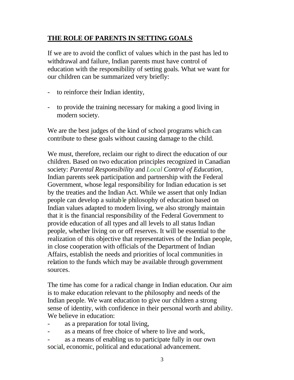# **THE ROLE OF PARENTS IN SETTING GOALS**

If we are to avoid the conflict of values which in the past has led to withdrawal and failure, Indian parents must have control of education with the responsibility of setting goals. What we want for our children can be summarized very briefly:

- to reinforce their Indian identity,
- to provide the training necessary for making a good living in modern society.

We are the best judges of the kind of school programs which can contribute to these goals without causing damage to the child.

We must, therefore, reclaim our right to direct the education of our children. Based on two education principles recognized in Canadian society: *Parental Responsibility* and *Local Control of Education,* Indian parents seek participation and partnership with the Federal Government, whose legal responsibility for Indian education is set by the treaties and the Indian Act. While we assert that only Indian people can develop a suitable philosophy of education based on Indian values adapted to modern living, we also strongly maintain that it is the financial responsibility of the Federal Government to provide education of all types and all levels to all status Indian people, whether living on or off reserves. It will be essential to the realization of this objective that representatives of the Indian people, in close cooperation with officials of the Department of Indian Affairs, establish the needs and priorities of local communities in relation to the funds which may be available through government sources.

The time has come for a radical change in Indian education. Our aim is to make education relevant to the philosophy and needs of the Indian people. We want education to give our children a strong sense of identity, with confidence in their personal worth and ability. We believe in education:

- as a preparation for total living,
- as a means of free choice of where to live and work,
- as a means of enabling us to participate fully in our own social, economic, political and educational advancement.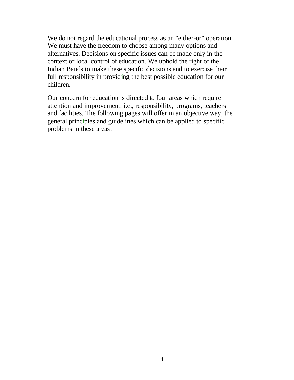We do not regard the educational process as an "either-or" operation. We must have the freedom to choose among many options and alternatives. Decisions on specific issues can be made only in the context of local control of education. We uphold the right of the Indian Bands to make these specific decisions and to exercise their full responsibility in providing the best possible education for our children.

Our concern for education is directed to four areas which require attention and improvement: i.e., responsibility, programs, teachers and facilities. The following pages will offer in an objective way, the general principles and guidelines which can be applied to specific problems in these areas.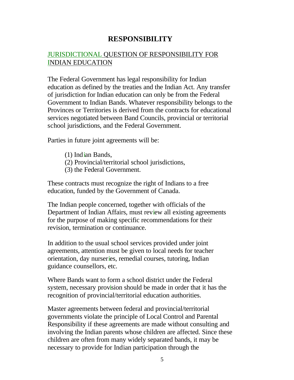# **RESPONSIBILITY**

# JURISDICTIONAL QUESTION OF RESPONSIBILITY FOR INDIAN EDUCATION

The Federal Government has legal responsibility for Indian education as defined by the treaties and the Indian Act. Any transfer of jurisdiction for Indian education can only be from the Federal Government to Indian Bands. Whatever responsibility belongs to the Provinces or Territories is derived from the contracts for educational services negotiated between Band Councils, provincial or territorial school jurisdictions, and the Federal Government.

Parties in future joint agreements will be:

- (1) Indian Bands,
- (2) Provincial/territorial school jurisdictions,
- (3) the Federal Government.

These contracts must recognize the right of Indians to a free education, funded by the Government of Canada.

The Indian people concerned, together with officials of the Department of Indian Affairs, must review all existing agreements for the purpose of making specific recommendations for their revision, termination or continuance.

In addition to the usual school services provided under joint agreements, attention must be given to local needs for teacher orientation, day nurseries, remedial courses, tutoring, Indian guidance counsellors, etc.

Where Bands want to form a school district under the Federal system, necessary provision should be made in order that it has the recognition of provincial/territorial education authorities.

Master agreements between federal and provincial/territorial governments violate the principle of Local Control and Parental Responsibility if these agreements are made without consulting and involving the Indian parents whose children are affected. Since these children are often from many widely separated bands, it may be necessary to provide for Indian participation through the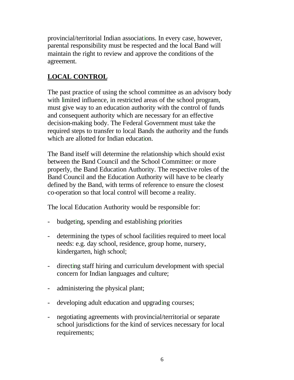provincial/territorial Indian associations. In every case, however, parental responsibility must be respected and the local Band will maintain the right to review and approve the conditions of the agreement.

# **LOCAL CONTROL**

The past practice of using the school committee as an advisory body with limited influence, in restricted areas of the school program, must give way to an education authority with the control of funds and consequent authority which are necessary for an effective decision-making body. The Federal Government must take the required steps to transfer to local Bands the authority and the funds which are allotted for Indian education.

The Band itself will determine the relationship which should exist between the Band Council and the School Committee: or more properly, the Band Education Authority. The respective roles of the Band Council and the Education Authority will have to be clearly defined by the Band, with terms of reference to ensure the closest co-operation so that local control will become a reality.

The local Education Authority would be responsible for:

- budgeting, spending and establishing priorities
- determining the types of school facilities required to meet local needs: e.g. day school, residence, group home, nursery, kindergarten, high school;
- directing staff hiring and curriculum development with special concern for Indian languages and culture;
- administering the physical plant;
- developing adult education and upgrading courses;
- negotiating agreements with provincial/territorial or separate school jurisdictions for the kind of services necessary for local requirements;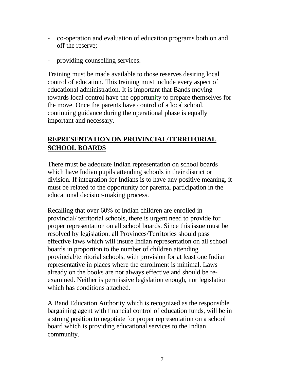- co-operation and evaluation of education programs both on and off the reserve;
- providing counselling services.

Training must be made available to those reserves desiring local control of education. This training must include every aspect of educational administration. It is important that Bands moving towards local control have the opportunity to prepare themselves for the move. Once the parents have control of a local school, continuing guidance during the operational phase is equally important and necessary.

# **REPRESENTATION ON PROVINCIAL/TERRITORIAL SCHOOL BOARDS**

There must be adequate Indian representation on school boards which have Indian pupils attending schools in their district or division. If integration for Indians is to have any positive meaning, it must be related to the opportunity for parental participation in the educational decision-making process.

Recalling that over 60% of Indian children are enrolled in provincial/ territorial schools, there is urgent need to provide for proper representation on all school boards. Since this issue must be resolved by legislation, all Provinces/Territories should pass effective laws which will insure Indian representation on all school boards in proportion to the number of children attending provincial/territorial schools, with provision for at least one Indian representative in places where the enrollment is minimal. Laws already on the books are not always effective and should be reexamined. Neither is permissive legislation enough, nor legislation which has conditions attached.

A Band Education Authority which is recognized as the responsible bargaining agent with financial control of education funds, will be in a strong position to negotiate for proper representation on a school board which is providing educational services to the Indian community.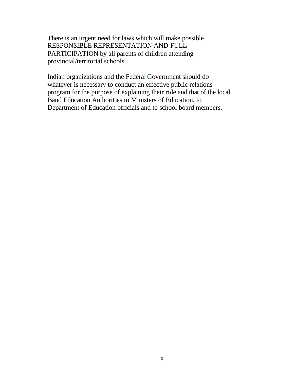There is an urgent need for laws which will make possible RESPONSIBLE REPRESENTATION AND FULL PARTICIPATION by all parents of children attending provincial/territorial schools.

Indian organizations and the Federal Government should do whatever is necessary to conduct an effective public relations program for the purpose of explaining their role and that of the local Band Education Authorities to Ministers of Education, to Department of Education officials and to school board members.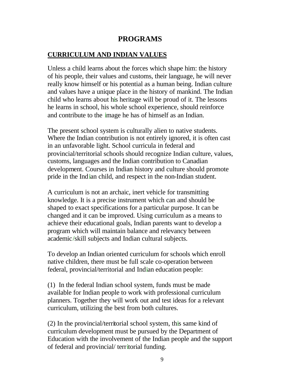# **PROGRAMS**

#### **CURRICULUM AND INDIAN VALUES**

Unless a child learns about the forces which shape him: the history of his people, their values and customs, their language, he will never really know himself or his potential as a human being. Indian culture and values have a unique place in the history of mankind. The Indian child who learns about his heritage will be proud of it. The lessons he learns in school, his whole school experience, should reinforce and contribute to the image he has of himself as an Indian.

The present school system is culturally alien to native students. Where the Indian contribution is not entirely ignored, it is often cast in an unfavorable light. School curricula in federal and provincial/territorial schools should recognize Indian culture, values, customs, languages and the Indian contribution to Canadian development. Courses in Indian history and culture should promote pride in the Indian child, and respect in the non-Indian student.

A curriculum is not an archaic, inert vehicle for transmitting knowledge. It is a precise instrument which can and should be shaped to exact specifications for a particular purpose. It can be changed and it can be improved. Using curriculum as a means to achieve their educational goals, Indian parents want to develop a program which will maintain balance and relevancy between academic/skill subjects and Indian cultural subjects.

To develop an Indian oriented curriculum for schools which enroll native children, there must be full scale co-operation between federal, provincial/territorial and Indian education people:

(1) In the federal Indian school system, funds must be made available for Indian people to work with professional curriculum planners. Together they will work out and test ideas for a relevant curriculum, utilizing the best from both cultures.

(2) In the provincial/territorial school system, this same kind of curriculum development must be pursued by the Department of Education with the involvement of the Indian people and the support of federal and provincial/ territorial funding.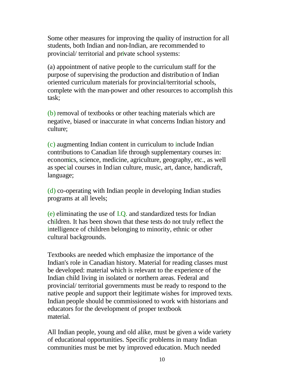Some other measures for improving the quality of instruction for all students, both Indian and non-Indian, are recommended to provincial/ territorial and private school systems:

(a) appointment of native people to the curriculum staff for the purpose of supervising the production and distribution of Indian oriented curriculum materials for provincial/territorial schools, complete with the man-power and other resources to accomplish this task;

(b) removal of textbooks or other teaching materials which are negative, biased or inaccurate in what concerns Indian history and culture;

(c) augmenting Indian content in curriculum to include Indian contributions to Canadian life through supplementary courses in: economics, science, medicine, agriculture, geography, etc., as well as special courses in Indian culture, music, art, dance, handicraft, language;

(d) co-operating with Indian people in developing Indian studies programs at all levels;

(e) eliminating the use of I.Q. and standardized tests for Indian children. It has been shown that these tests do not truly reflect the intelligence of children belonging to minority, ethnic or other cultural backgrounds.

Textbooks are needed which emphasize the importance of the Indian's role in Canadian history. Material for reading classes must be developed: material which is relevant to the experience of the Indian child living in isolated or northern areas. Federal and provincial/ territorial governments must be ready to respond to the native people and support their legitimate wishes for improved texts. Indian people should be commissioned to work with historians and educators for the development of proper textbook material.

All Indian people, young and old alike, must be given a wide variety of educational opportunities. Specific problems in many Indian communities must be met by improved education. Much needed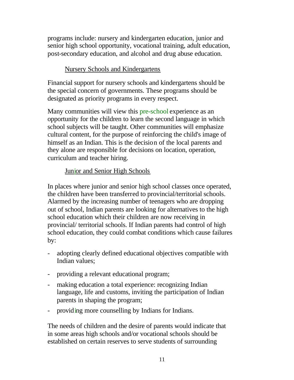programs include: nursery and kindergarten education, junior and senior high school opportunity, vocational training, adult education, post-secondary education, and alcohol and drug abuse education.

#### Nursery Schools and Kindergartens

Financial support for nursery schools and kindergartens should be the special concern of governments. These programs should be designated as priority programs in every respect.

Many communities will view this **pre-school** experience as an opportunity for the children to learn the second language in which school subjects will be taught. Other communities will emphasize cultural content, for the purpose of reinforcing the child's image of himself as an Indian. This is the decision of the local parents and they alone are responsible for decisions on location, operation, curriculum and teacher hiring.

## **Junior and Senior High Schools**

In places where junior and senior high school classes once operated, the children have been transferred to provincial/territorial schools. Alarmed by the increasing number of teenagers who are dropping out of school, Indian parents are looking for alternatives to the high school education which their children are now receiving in provincial/ territorial schools. If Indian parents had control of high school education, they could combat conditions which cause failures by:

- adopting clearly defined educational objectives compatible with Indian values;
- providing a relevant educational program;
- making education a total experience: recognizing Indian language, life and customs, inviting the participation of Indian parents in shaping the program;
- providing more counselling by Indians for Indians.

The needs of children and the desire of parents would indicate that in some areas high schools and/or vocational schools should be established on certain reserves to serve students of surrounding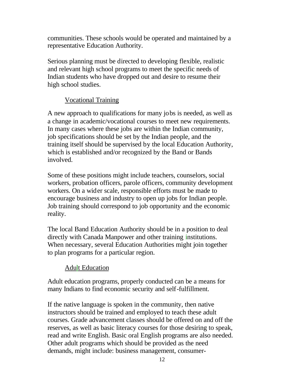communities. These schools would be operated and maintained by a representative Education Authority.

Serious planning must be directed to developing flexible, realistic and relevant high school programs to meet the specific needs of Indian students who have dropped out and desire to resume their high school studies.

## Vocational Training

A new approach to qualifications for many jobs is needed, as well as a change in academic/vocational courses to meet new requirements. In many cases where these jobs are within the Indian community, job specifications should be set by the Indian people, and the training itself should be supervised by the local Education Authority, which is established and/or recognized by the Band or Bands involved.

Some of these positions might include teachers, counselors, social workers, probation officers, parole officers, community development workers. On a wider scale, responsible efforts must be made to encourage business and industry to open up jobs for Indian people. Job training should correspond to job opportunity and the economic reality.

The local Band Education Authority should be in a position to deal directly with Canada Manpower and other training institutions. When necessary, several Education Authorities might join together to plan programs for a particular region.

## Adult Education

Adult education programs, properly conducted can be a means for many Indians to find economic security and self-fulfillment.

If the native language is spoken in the community, then native instructors should be trained and employed to teach these adult courses. Grade advancement classes should be offered on and off the reserves, as well as basic literacy courses for those desiring to speak, read and write English. Basic oral English programs are also needed. Other adult programs which should be provided as the need demands, might include: business management, consumer-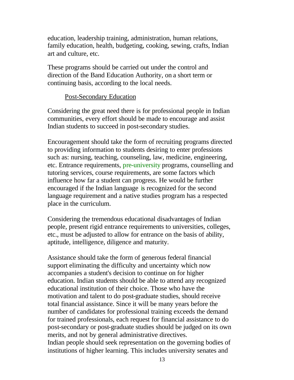education, leadership training, administration, human relations, family education, health, budgeting, cooking, sewing, crafts, Indian art and culture, etc.

These programs should be carried out under the control and direction of the Band Education Authority, on a short term or continuing basis, according to the local needs.

#### Post-Secondary Education

Considering the great need there is for professional people in Indian communities, every effort should be made to encourage and assist Indian students to succeed in post-secondary studies.

Encouragement should take the form of recruiting programs directed to providing information to students desiring to enter professions such as: nursing, teaching, counseling, law, medicine, engineering, etc. Entrance requirements, pre-university programs, counselling and tutoring services, course requirements, are some factors which influence how far a student can progress. He would be further encouraged if the Indian language is recognized for the second language requirement and a native studies program has a respected place in the curriculum.

Considering the tremendous educational disadvantages of Indian people, present rigid entrance requirements to universities, colleges, etc., must be adjusted to allow for entrance on the basis of ability, aptitude, intelligence, diligence and maturity.

Assistance should take the form of generous federal financial support eliminating the difficulty and uncertainty which now accompanies a student's decision to continue on for higher education. Indian students should be able to attend any recognized educational institution of their choice. Those who have the motivation and talent to do post-graduate studies, should receive total financial assistance. Since it will be many years before the number of candidates for professional training exceeds the demand for trained professionals, each request for financial assistance to do post-secondary or post-graduate studies should be judged on its own merits, and not by general administrative directives. Indian people should seek representation on the governing bodies of institutions of higher learning. This includes university senates and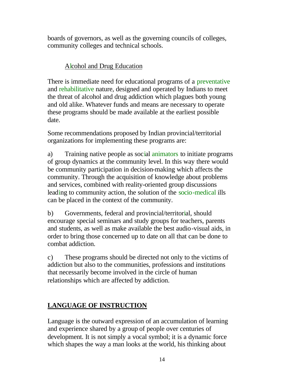boards of governors, as well as the governing councils of colleges, community colleges and technical schools.

# Alcohol and Drug Education

There is immediate need for educational programs of a preventative and rehabilitative nature, designed and operated by Indians to meet the threat of alcohol and drug addiction which plagues both young and old alike. Whatever funds and means are necessary to operate these programs should be made available at the earliest possible date.

Some recommendations proposed by Indian provincial/territorial organizations for implementing these programs are:

a) Training native people as social animators to initiate programs of group dynamics at the community level. In this way there would be community participation in decision-making which affects the community. Through the acquisition of knowledge about problems and services, combined with reality-oriented group discussions leading to community action, the solution of the socio-medical ills can be placed in the context of the community.

b) Governments, federal and provincial/territorial, should encourage special seminars and study groups for teachers, parents and students, as well as make available the best audio-visual aids, in order to bring those concerned up to date on all that can be done to combat addiction.

c) These programs should be directed not only to the victims of addiction but also to the communities, professions and institutions that necessarily become involved in the circle of human relationships which are affected by addiction.

# **LANGUAGE OF INSTRUCTION**

Language is the outward expression of an accumulation of learning and experience shared by a group of people over centuries of development. It is not simply a vocal symbol; it is a dynamic force which shapes the way a man looks at the world, his thinking about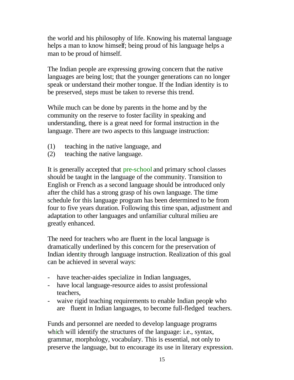the world and his philosophy of life. Knowing his maternal language helps a man to know himself; being proud of his language helps a man to be proud of himself.

The Indian people are expressing growing concern that the native languages are being lost; that the younger generations can no longer speak or understand their mother tongue. If the Indian identity is to be preserved, steps must be taken to reverse this trend.

While much can be done by parents in the home and by the community on the reserve to foster facility in speaking and understanding, there is a great need for formal instruction in the language. There are two aspects to this language instruction:

- (1) teaching in the native language, and
- (2) teaching the native language.

It is generally accepted that pre-school and primary school classes should be taught in the language of the community. Transition to English or French as a second language should be introduced only after the child has a strong grasp of his own language. The time schedule for this language program has been determined to be from four to five years duration. Following this time span, adjustment and adaptation to other languages and unfamiliar cultural milieu are greatly enhanced.

The need for teachers who are fluent in the local language is dramatically underlined by this concern for the preservation of Indian identity through language instruction. Realization of this goal can be achieved in several ways:

- have teacher-aides specialize in Indian languages,
- have local language-resource aides to assist professional teachers,
- waive rigid teaching requirements to enable Indian people who are fluent in Indian languages, to become full-fledged teachers.

Funds and personnel are needed to develop language programs which will identify the structures of the language: i.e., syntax, grammar, morphology, vocabulary. This is essential, not only to preserve the language, but to encourage its use in literary expression.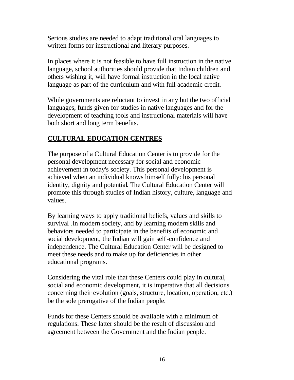Serious studies are needed to adapt traditional oral languages to written forms for instructional and literary purposes.

In places where it is not feasible to have full instruction in the native language, school authorities should provide that Indian children and others wishing it, will have formal instruction in the local native language as part of the curriculum and with full academic credit.

While governments are reluctant to invest in any but the two official languages, funds given for studies in native languages and for the development of teaching tools and instructional materials will have both short and long term benefits.

# **CULTURAL EDUCATION CENTRES**

The purpose of a Cultural Education Center is to provide for the personal development necessary for social and economic achievement in today's society. This personal development is achieved when an individual knows himself fully: his personal identity, dignity and potential. The Cultural Education Center will promote this through studies of Indian history, culture, language and values.

By learning ways to apply traditional beliefs, values and skills to survival .in modern society, and by learning modern skills and behaviors needed to participate in the benefits of economic and social development, the Indian will gain self-confidence and independence. The Cultural Education Center will be designed to meet these needs and to make up for deficiencies in other educational programs.

Considering the vital role that these Centers could play in cultural, social and economic development, it is imperative that all decisions concerning their evolution (goals, structure, location, operation, etc.) be the sole prerogative of the Indian people.

Funds for these Centers should be available with a minimum of regulations. These latter should be the result of discussion and agreement between the Government and the Indian people.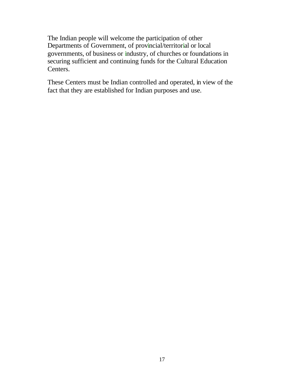The Indian people will welcome the participation of other Departments of Government, of provincial/territorial or local governments, of business or industry, of churches or foundations in securing sufficient and continuing funds for the Cultural Education Centers.

These Centers must be Indian controlled and operated, in view of the fact that they are established for Indian purposes and use.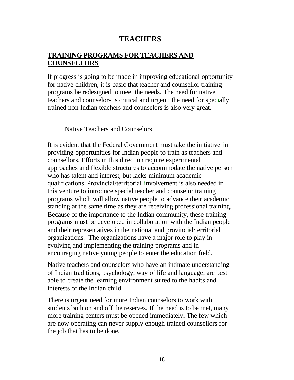# **TEACHERS**

#### **TRAINING PROGRAMS FOR TEACHERS AND COUNSELLORS**

If progress is going to be made in improving educational opportunity for native children, it is basic that teacher and counsellor training programs be redesigned to meet the needs. The need for native teachers and counselors is critical and urgent; the need for specially trained non-Indian teachers and counselors is also very great.

#### Native Teachers and Counselors

It is evident that the Federal Government must take the initiative in providing opportunities for Indian people to train as teachers and counsellors. Efforts in this direction require experimental approaches and flexible structures to accommodate the native person who has talent and interest, but lacks minimum academic qualifications. Provincial/territorial involvement is also needed in this venture to introduce special teacher and counselor training programs which will allow native people to advance their academic standing at the same time as they are receiving professional training. Because of the importance to the Indian community, these training programs must be developed in collaboration with the Indian people and their representatives in the national and provincial/territorial organizations. The organizations have a major role to play in evolving and implementing the training programs and in encouraging native young people to enter the education field.

Native teachers and counselors who have an intimate understanding of Indian traditions, psychology, way of life and language, are best able to create the learning environment suited to the habits and interests of the Indian child.

There is urgent need for more Indian counselors to work with students both on and off the reserves. If the need is to be met, many more training centers must be opened immediately. The few which are now operating can never supply enough trained counsellors for the job that has to be done.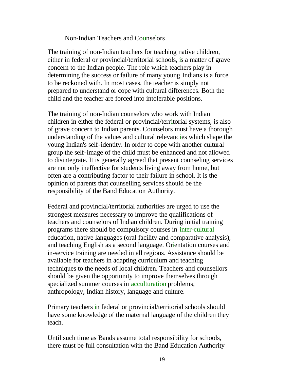#### Non-Indian Teachers and Counselors

The training of non-Indian teachers for teaching native children, either in federal or provincial/territorial schools, is a matter of grave concern to the Indian people. The role which teachers play in determining the success or failure of many young Indians is a force to be reckoned with. In most cases, the teacher is simply not prepared to understand or cope with cultural differences. Both the child and the teacher are forced into intolerable positions.

The training of non-Indian counselors who work with Indian children in either the federal or provincial/territorial systems, is also of grave concern to Indian parents. Counselors must have a thorough understanding of the values and cultural relevancies which shape the young Indian's self-identity. In order to cope with another cultural group the self-image of the child must be enhanced and not allowed to disintegrate. It is generally agreed that present counseling services are not only ineffective for students living away from home, but often are a contributing factor to their failure in school. It is the opinion of parents that counselling services should be the responsibility of the Band Education Authority.

Federal and provincial/territorial authorities are urged to use the strongest measures necessary to improve the qualifications of teachers and counselors of Indian children. During initial training programs there should be compulsory courses in inter-cultural education, native languages (oral facility and comparative analysis), and teaching English as a second language. Orientation courses and in-service training are needed in all regions. Assistance should be available for teachers in adapting curriculum and teaching techniques to the needs of local children. Teachers and counsellors should be given the opportunity to improve themselves through specialized summer courses in acculturation problems, anthropology, Indian history, language and culture.

Primary teachers in federal or provincial/territorial schools should have some knowledge of the maternal language of the children they teach.

Until such time as Bands assume total responsibility for schools, there must be full consultation with the Band Education Authority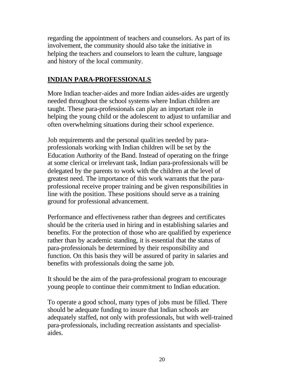regarding the appointment of teachers and counselors. As part of its involvement, the community should also take the initiative in helping the teachers and counselors to learn the culture, language and history of the local community.

#### **INDIAN PARA-PROFESSIONALS**

More Indian teacher-aides and more Indian aides-aides are urgently needed throughout the school systems where Indian children are taught. These para-professionals can play an important role in helping the young child or the adolescent to adjust to unfamiliar and often overwhelming situations during their school experience.

Job requirements and the personal qualities needed by paraprofessionals working with Indian children will be set by the Education Authority of the Band. Instead of operating on the fringe at some clerical or irrelevant task, Indian para-professionals will be delegated by the parents to work with the children at the level of greatest need. The importance of this work warrants that the paraprofessional receive proper training and be given responsibilities in line with the position. These positions should serve as a training ground for professional advancement.

Performance and effectiveness rather than degrees and certificates should be the criteria used in hiring and in establishing salaries and benefits. For the protection of those who are qualified by experience rather than by academic standing, it is essential that the status of para-professionals be determined by their responsibility and function. On this basis they will be assured of parity in salaries and benefits with professionals doing the same job.

It should be the aim of the para-professional program to encourage young people to continue their commitment to Indian education.

To operate a good school, many types of jobs must be filled. There should be adequate funding to insure that Indian schools are adequately staffed, not only with professionals, but with well-trained para-professionals, including recreation assistants and specialistaides.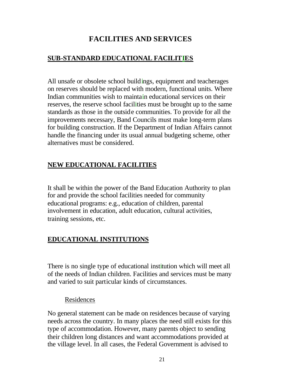# **FACILITIES AND SERVICES**

### **SUB-STANDARD EDUCATIONAL FACILITIES**

All unsafe or obsolete school buildings, equipment and teacherages on reserves should be replaced with modern, functional units. Where Indian communities wish to maintain educational services on their reserves, the reserve school facilities must be brought up to the same standards as those in the outside communities. To provide for all the improvements necessary, Band Councils must make long-term plans for building construction. If the Department of Indian Affairs cannot handle the financing under its usual annual budgeting scheme, other alternatives must be considered.

#### **NEW EDUCATIONAL FACILITIES**

It shall be within the power of the Band Education Authority to plan for and provide the school facilities needed for community educational programs: e.g., education of children, parental involvement in education, adult education, cultural activities, training sessions, etc.

#### **EDUCATIONAL INSTITUTIONS**

There is no single type of educational institution which will meet all of the needs of Indian children. Facilities and services must be many and varied to suit particular kinds of circumstances.

#### Residences

No general statement can be made on residences because of varying needs across the country. In many places the need still exists for this type of accommodation. However, many parents object to sending their children long distances and want accommodations provided at the village level. In all cases, the Federal Government is advised to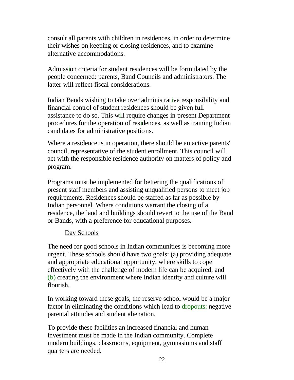consult all parents with children in residences, in order to determine their wishes on keeping or closing residences, and to examine alternative accommodations.

Admission criteria for student residences will be formulated by the people concerned: parents, Band Councils and administrators. The latter will reflect fiscal considerations.

Indian Bands wishing to take over administrative responsibility and financial control of student residences should be given full assistance to do so. This will require changes in present Department procedures for the operation of residences, as well as training Indian candidates for administrative positions.

Where a residence is in operation, there should be an active parents' council, representative of the student enrollment. This council will act with the responsible residence authority on matters of policy and program.

Programs must be implemented for bettering the qualifications of present staff members and assisting unqualified persons to meet job requirements. Residences should be staffed as far as possible by Indian personnel. Where conditions warrant the closing of a residence, the land and buildings should revert to the use of the Band or Bands, with a preference for educational purposes.

#### Day Schools

The need for good schools in Indian communities is becoming more urgent. These schools should have two goals: (a) providing adequate and appropriate educational opportunity, where skills to cope effectively with the challenge of modern life can be acquired, and (b) creating the environment where Indian identity and culture will flourish.

In working toward these goals, the reserve school would be a major factor in eliminating the conditions which lead to dropouts: negative parental attitudes and student alienation.

To provide these facilities an increased financial and human investment must be made in the Indian community. Complete modern buildings, classrooms, equipment, gymnasiums and staff quarters are needed.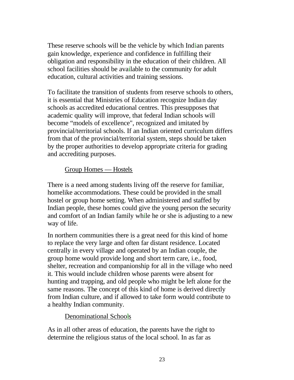These reserve schools will be the vehicle by which Indian parents gain knowledge, experience and confidence in fulfilling their obligation and responsibility in the education of their children. All school facilities should be available to the community for adult education, cultural activities and training sessions.

To facilitate the transition of students from reserve schools to others, it is essential that Ministries of Education recognize Indian day schools as accredited educational centres. This presupposes that academic quality will improve, that federal Indian schools will become "models of excellence", recognized and imitated by provincial/territorial schools. If an Indian oriented curriculum differs from that of the provincial/territorial system, steps should be taken by the proper authorities to develop appropriate criteria for grading and accrediting purposes.

Group Homes — Hostels

There is a need among students living off the reserve for familiar, homelike accommodations. These could be provided in the small hostel or group home setting. When administered and staffed by Indian people, these homes could give the young person the security and comfort of an Indian family while he or she is adjusting to a new way of life.

In northern communities there is a great need for this kind of home to replace the very large and often far distant residence. Located centrally in every village and operated by an Indian couple, the group home would provide long and short term care, i.e., food, shelter, recreation and companionship for all in the village who need it. This would include children whose parents were absent for hunting and trapping, and old people who might be left alone for the same reasons. The concept of this kind of home is derived directly from Indian culture, and if allowed to take form would contribute to a healthy Indian community.

#### Denominational Schools

As in all other areas of education, the parents have the right to determine the religious status of the local school. In as far as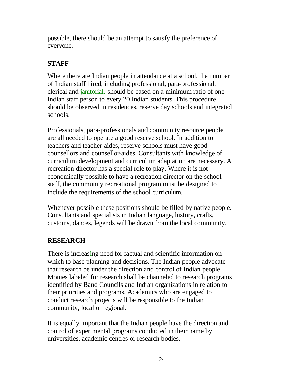possible, there should be an attempt to satisfy the preference of everyone.

# **STAFF**

Where there are Indian people in attendance at a school, the number of Indian staff hired, including professional, para-professional, clerical and janitorial, should be based on a minimum ratio of one Indian staff person to every 20 Indian students. This procedure should be observed in residences, reserve day schools and integrated schools.

Professionals, para-professionals and community resource people are all needed to operate a good reserve school. In addition to teachers and teacher-aides, reserve schools must have good counsellors and counsellor-aides. Consultants with knowledge of curriculum development and curriculum adaptation are necessary. A recreation director has a special role to play. Where it is not economically possible to have a recreation director on the school staff, the community recreational program must be designed to include the requirements of the school curriculum.

Whenever possible these positions should be filled by native people. Consultants and specialists in Indian language, history, crafts, customs, dances, legends will be drawn from the local community.

# **RESEARCH**

There is increasing need for factual and scientific information on which to base planning and decisions. The Indian people advocate that research be under the direction and control of Indian people. Monies labeled for research shall be channeled to research programs identified by Band Councils and Indian organizations in relation to their priorities and programs. Academics who are engaged to conduct research projects will be responsible to the Indian community, local or regional.

It is equally important that the Indian people have the direction and control of experimental programs conducted in their name by universities, academic centres or research bodies.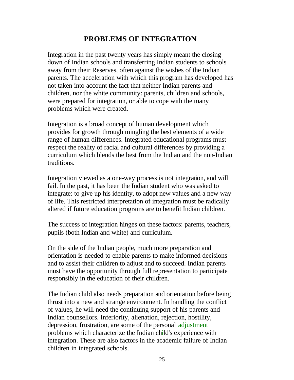# **PROBLEMS OF INTEGRATION**

Integration in the past twenty years has simply meant the closing down of Indian schools and transferring Indian students to schools away from their Reserves, often against the wishes of the Indian parents. The acceleration with which this program has developed has not taken into account the fact that neither Indian parents and children, nor the white community: parents, children and schools, were prepared for integration, or able to cope with the many problems which were created.

Integration is a broad concept of human development which provides for growth through mingling the best elements of a wide range of human differences. Integrated educational programs must respect the reality of racial and cultural differences by providing a curriculum which blends the best from the Indian and the non-Indian traditions.

Integration viewed as a one-way process is not integration, and will fail. In the past, it has been the Indian student who was asked to integrate: to give up his identity, to adopt new values and a new way of life. This restricted interpretation of integration must be radically altered if future education programs are to benefit Indian children.

The success of integration hinges on these factors: parents, teachers, pupils (both Indian and white) and curriculum.

On the side of the Indian people, much more preparation and orientation is needed to enable parents to make informed decisions and to assist their children to adjust and to succeed. Indian parents must have the opportunity through full representation to participate responsibly in the education of their children.

The Indian child also needs preparation and orientation before being thrust into a new and strange environment. In handling the conflict of values, he will need the continuing support of his parents and Indian counsellors. Inferiority, alienation, rejection, hostility, depression, frustration, are some of the personal adjustment problems which characterize the Indian child's experience with integration. These are also factors in the academic failure of Indian children in integrated schools.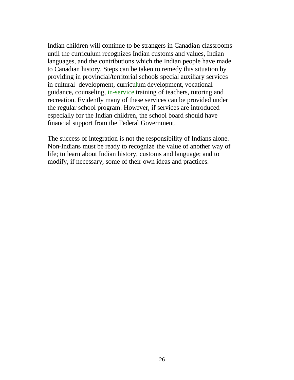Indian children will continue to be strangers in Canadian classrooms until the curriculum recognizes Indian customs and values, Indian languages, and the contributions which the Indian people have made to Canadian history. Steps can be taken to remedy this situation by providing in provincial/territorial schools special auxiliary services in cultural development, curriculum development, vocational guidance, counseling, in-service training of teachers, tutoring and recreation. Evidently many of these services can be provided under the regular school program. However, if services are introduced especially for the Indian children, the school board should have financial support from the Federal Government.

The success of integration is not the responsibility of Indians alone. Non-Indians must be ready to recognize the value of another way of life; to learn about Indian history, customs and language; and to modify, if necessary, some of their own ideas and practices.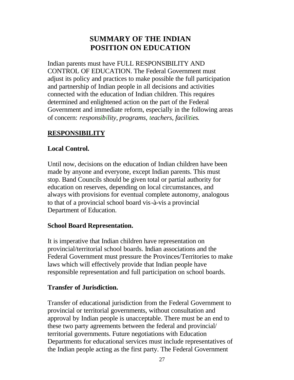# **SUMMARY OF THE INDIAN POSITION ON EDUCATION**

Indian parents must have FULL RESPONSIBILITY AND CONTROL OF EDUCATION. The Federal Government must adjust its policy and practices to make possible the full participation and partnership of Indian people in all decisions and activities connected with the education of Indian children. This requires determined and enlightened action on the part of the Federal Government and immediate reform, especially in the following areas of concern: *responsibility, programs, teachers, facilities.*

#### **RESPONSIBILITY**

#### **Local Control.**

Until now, decisions on the education of Indian children have been made by anyone and everyone, except Indian parents. This must stop. Band Councils should be given total or partial authority for education on reserves, depending on local circumstances, and always with provisions for eventual complete autonomy, analogous to that of a provincial school board vis-à-vis a provincial Department of Education.

#### **School Board Representation.**

It is imperative that Indian children have representation on provincial/territorial school boards. Indian associations and the Federal Government must pressure the Provinces/Territories to make laws which will effectively provide that Indian people have responsible representation and full participation on school boards.

#### **Transfer of Jurisdiction.**

Transfer of educational jurisdiction from the Federal Government to provincial or territorial governments, without consultation and approval by Indian people is unacceptable. There must be an end to these two party agreements between the federal and provincial/ territorial governments. Future negotiations with Education Departments for educational services must include representatives of the Indian people acting as the first party. The Federal Government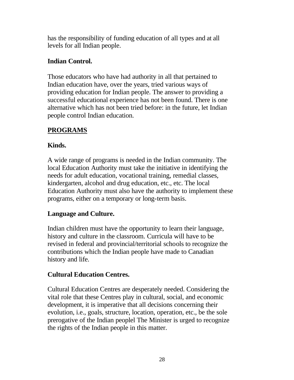has the responsibility of funding education of all types and at all levels for all Indian people.

# **Indian Control.**

Those educators who have had authority in all that pertained to Indian education have, over the years, tried various ways of providing education for Indian people. The answer to providing a successful educational experience has not been found. There is one alternative which has not been tried before: in the future, let Indian people control Indian education.

# **PROGRAMS**

# **Kinds.**

A wide range of programs is needed in the Indian community. The local Education Authority must take the initiative in identifying the needs for adult education, vocational training, remedial classes, kindergarten, alcohol and drug education, etc., etc. The local Education Authority must also have the authority to implement these programs, either on a temporary or long-term basis.

# **Language and Culture.**

Indian children must have the opportunity to learn their language, history and culture in the classroom. Curricula will have to be revised in federal and provincial/territorial schools to recognize the contributions which the Indian people have made to Canadian history and life.

## **Cultural Education Centres.**

Cultural Education Centres are desperately needed. Considering the vital role that these Centres play in cultural, social, and economic development, it is imperative that all decisions concerning their evolution, i.e., goals, structure, location, operation, etc., be the sole prerogative of the Indian peoplel The Minister is urged to recognize the rights of the Indian people in this matter.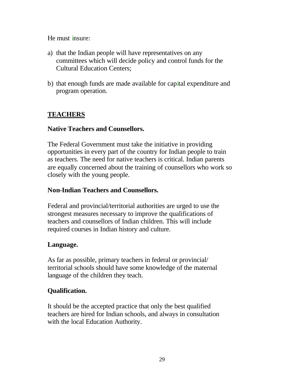He must insure:

- a) that the Indian people will have representatives on any committees which will decide policy and control funds for the Cultural Education Centers;
- b) that enough funds are made available for capital expenditure and program operation.

# **TEACHERS**

#### **Native Teachers and Counsellors.**

The Federal Government must take the initiative in providing opportunities in every part of the country for Indian people to train as teachers. The need for native teachers is critical. Indian parents are equally concerned about the training of counsellors who work so closely with the young people.

#### **Non-Indian Teachers and Counsellors.**

Federal and provincial/territorial authorities are urged to use the strongest measures necessary to improve the qualifications of teachers and counsellors of Indian children. This will include required courses in Indian history and culture.

#### **Language.**

As far as possible, primary teachers in federal or provincial/ territorial schools should have some knowledge of the maternal language of the children they teach.

## **Qualification.**

It should be the accepted practice that only the best qualified teachers are hired for Indian schools, and always in consultation with the local Education Authority.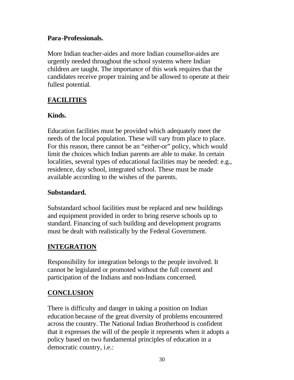#### **Para-Professionals.**

More Indian teacher-aides and more Indian counsellor-aides are urgently needed throughout the school systems where Indian children are taught. The importance of this work requires that the candidates receive proper training and be allowed to operate at their fullest potential.

# **FACILITIES**

## **Kinds.**

Education facilities must be provided which adequately meet the needs of the local population. These will vary from place to place. For this reason, there cannot be an "either-or" policy, which would limit the choices which Indian parents are able to make. In certain localities, several types of educational facilities may be needed: e.g., residence, day school, integrated school. These must be made available according to the wishes of the parents.

#### **Substandard.**

Substandard school facilities must be replaced and new buildings and equipment provided in order to bring reserve schools up to standard. Financing of such building and development programs must be dealt with realistically by the Federal Government.

#### **INTEGRATION**

Responsibility for integration belongs to the people involved. It cannot be legislated or promoted without the full consent and participation of the Indians and non-Indians concerned.

## **CONCLUSION**

There is difficulty and danger in taking a position on Indian education because of the great diversity of problems encountered across the country. The National Indian Brotherhood is confident that it expresses the will of the people it represents when it adopts a policy based on two fundamental principles of education in a democratic country, i.e.: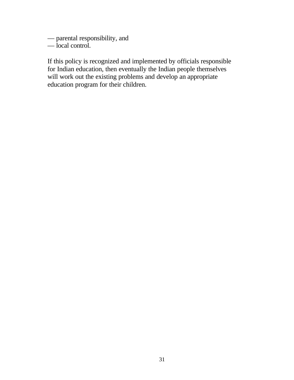— parental responsibility, and

— local control.

If this policy is recognized and implemented by officials responsible for Indian education, then eventually the Indian people themselves will work out the existing problems and develop an appropriate education program for their children.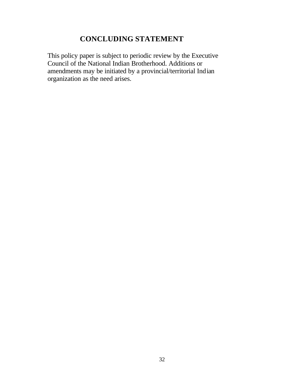# **CONCLUDING STATEMENT**

This policy paper is subject to periodic review by the Executive Council of the National Indian Brotherhood. Additions or amendments may be initiated by a provincial/territorial Indian organization as the need arises.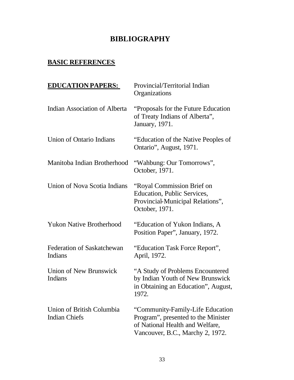# **BIBLIOGRAPHY**

# **BASIC REFERENCES**

| <b>EDUCATION PAPERS:</b>                            | Provincial/Territorial Indian<br>Organizations                                                                                                 |
|-----------------------------------------------------|------------------------------------------------------------------------------------------------------------------------------------------------|
| Indian Association of Alberta                       | "Proposals for the Future Education"<br>of Treaty Indians of Alberta",<br>January, 1971.                                                       |
| Union of Ontario Indians                            | "Education of the Native Peoples of<br>Ontario", August, 1971.                                                                                 |
| Manitoba Indian Brotherhood                         | "Wahbung: Our Tomorrows",<br>October, 1971.                                                                                                    |
| Union of Nova Scotia Indians                        | "Royal Commission Brief on<br>Education, Public Services,<br>Provincial-Municipal Relations",<br>October, 1971.                                |
| <b>Yukon Native Brotherhood</b>                     | "Education of Yukon Indians, A<br>Position Paper", January, 1972.                                                                              |
| <b>Federation of Saskatchewan</b><br><b>Indians</b> | "Education Task Force Report",<br>April, 1972.                                                                                                 |
| <b>Union of New Brunswick</b><br>Indians            | "A Study of Problems Encountered<br>by Indian Youth of New Brunswick<br>in Obtaining an Education", August,<br>1972.                           |
| Union of British Columbia<br><b>Indian Chiefs</b>   | "Community-Family-Life Education<br>Program", presented to the Minister<br>of National Health and Welfare,<br>Vancouver, B.C., Marchy 2, 1972. |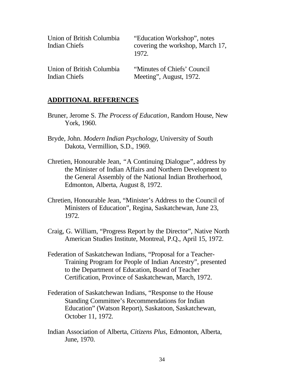| Union of British Columbia<br>Indian Chiefs | "Education Workshop", notes<br>covering the workshop, March 17,<br>1972. |
|--------------------------------------------|--------------------------------------------------------------------------|
| Union of British Columbia                  | "Minutes of Chiefs" Council                                              |
| Indian Chiefs                              | Meeting", August, 1972.                                                  |

#### **ADDITIONAL REFERENCES**

- Bruner, Jerome S. *The Process of Education*, Random House, New York, 1960.
- Bryde, John. *Modern Indian Psychology*, University of South Dakota, Vermillion, S.D., 1969.
- Chretien, Honourable Jean, *"*A Continuing Dialogue*"*, address by the Minister of Indian Affairs and Northern Development to the General Assembly of the National Indian Brotherhood, Edmonton, Alberta, August 8, 1972.
- Chretien, Honourable Jean, "Minister's Address to the Council of Ministers of Education", Regina, Saskatchewan, June 23, 1972.
- Craig, G. William, "Progress Report by the Director", Native North American Studies Institute, Montreal, P.Q., April 15, 1972.
- Federation of Saskatchewan Indians, "Proposal for a Teacher-Training Program for People of Indian Ancestry", presented to the Department of Education, Board of Teacher Certification, Province of Saskatchewan, March, 1972.
- Federation of Saskatchewan Indians, "Response to the House Standing Committee's Recommendations for Indian Education" (Watson Report), Saskatoon, Saskatchewan, October 11, 1972.
- Indian Association of Alberta, *Citizens Plus,* Edmonton, Alberta, June, 1970.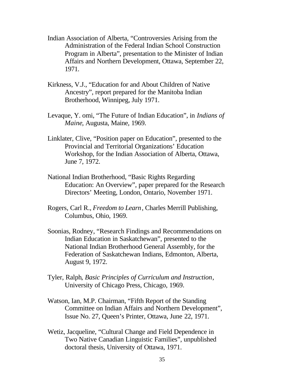- Indian Association of Alberta, "Controversies Arising from the Administration of the Federal Indian School Construction Program in Alberta", presentation to the Minister of Indian Affairs and Northern Development, Ottawa, September 22, 1971.
- Kirkness, V.J., "Education for and About Children of Native Ancestry", report prepared for the Manitoba Indian Brotherhood, Winnipeg, July 1971.
- Levaque, Y. omi, "The Future of Indian Education", in *Indians of Maine*, Augusta, Maine, 1969.
- Linklater, Clive, "Position paper on Education", presented to the Provincial and Territorial Organizations' Education Workshop, for the Indian Association of Alberta, Ottawa, June 7, 1972.
- National Indian Brotherhood, "Basic Rights Regarding Education: An Overview", paper prepared for the Research Directors' Meeting, London, Ontario, November 1971.
- Rogers, Carl R., *Freedom to Learn*, Charles Merrill Publishing, Columbus, Ohio, 1969.
- Soonias, Rodney, "Research Findings and Recommendations on Indian Education in Saskatchewan", presented to the National Indian Brotherhood General Assembly, for the Federation of Saskatchewan Indians, Edmonton, Alberta, August 9, 1972.
- Tyler, Ralph, *Basic Principles of Curriculum and Instruction*, University of Chicago Press, Chicago, 1969.
- Watson, Ian, M.P. Chairman, "Fifth Report of the Standing Committee on Indian Affairs and Northern Development", Issue No. 27, Queen's Printer, Ottawa, June 22, 1971.
- Wetiz, Jacqueline, "Cultural Change and Field Dependence in Two Native Canadian Linguistic Families", unpublished doctoral thesis, University of Ottawa, 1971.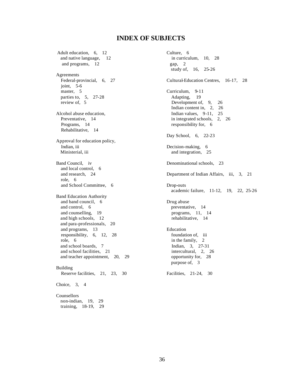#### **INDEX OF SUBJECTS**

Adult education, 6, 12 and native language, 12 and programs, 12 Agreements Federal-provincial, 6, 27 joint, 5-6 master, 5 parties to, 5, 27-28 review of, 5 Alcohol abuse education, Preventative, 14 Programs, 14 Rehabilitative, 14 Approval for education policy, Indian, iii Ministerial, iii Band Council, iv and local control, 6 and research, 24 role, 6 and School Committee, 6 Band Education Authority and band council, 6 and control, 6 and counselling, 19 and high schools, 12 and para-professionals, 20 and programs, 13 responsibility, 6, 12, 28 role, 6 and school boards, 7 and school facilities, 21 and teacher appointment, 20, 29 Building Reserve facilities, 21, 23, 30 Choice, 3, 4 Counsellors non-indian, 19, 29 training, 18-19, 29

Culture, 6 in curriculum, 10, 28 gap, 2 study of, 16, 25-26 Cultural-Education Centres, 16-17, 28 Curriculum, 9-11 Adapting, 19 Development of, 9, 26 Indian content in, 2, 26 Indian values, 9-11, 25 in integrated schools, 2, 26 responsibility for, 6 Day School, 6, 22-23 Decision-making, 6 and integration, 25 Denominational schools, 23 Department of Indian Affairs, iii, 3, 21 Drop-outs academic failure, 11-12, 19, 22, 25-26 Drug abuse preventative, 14 programs, 11, 14 rehabilitative, 14 Education foundation of, iii in the family, 2 Indian, 3, 27-31 intercultural, 2, 26 opportunity for, 28 purpose of, 3 Facilities, 21-24, 30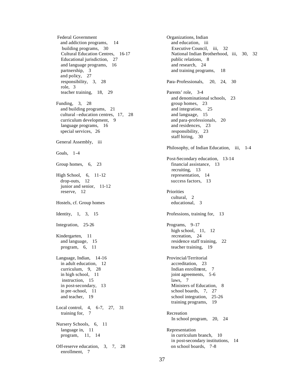Federal Government and addiction programs, 14 building programs, 30 Cultural Education Centres, 16-17 Educational jurisdiction, 27 and language programs, 16 partnership, 3 and policy, 27 responsibility, 3, 28 role, 3 teacher training, 18, 29 Funding, 3, 28 and building programs, 21 cultural –education centres, 17, 28 curriculum development, 9 language programs, 16 special services, 26 General Assembly, iii Goals, 1-4 Group homes, 6, 23 High School, 6, 11-12 drop-outs, 12 junior and senior, 11-12 reserve, 12 Hostels, cf. Group homes Identity, 1, 3, 15 Integration, 25-26 Kindergarten, 11 and language, 15 program, 6, 11 Language, Indian, 14-16 in adult education, 12 curriculum, 9, 28 in high school, 11 instruction, 15 in post-secondary, 13 in pre -school, 11 and teacher, 19 Local control, 4, 6-7, 27, 31 training for, 7 Nursery Schools, 6, 11 language in, 11 program, 11, 14 Off-reserve education, 3, 7, 28 enrollment, 7

Organizations, Indian and education, iii Executive Council, iii, 32 National Indian Brotherhood, iii, 30, 32 public relations, 8 and research, 24 and training programs, 18 Para-Professionals, 20, 24, 30 Parents' role, 3-4 and denominational schools, 23 group homes, 23 and integration, 25 and language, 15 and para-professionals, 20 and residences, 23 responsibility, 23 staff hiring, 30 Philosophy, of Indian Education, iii, 1-4 Post-Secondary education, 13-14 financial assistance, 13 recruiting, 13 representation, 14 success factors, 13 **Priorities**  cultural, 2 educational, 3 Professions, training for, 13 Programs, 9-17 high school, 11, 12 recreation, 24 residence staff training, 22 teacher training, 19 Provincial/Territorial accreditation, 23 Indian enrollment, 7 joint agreements, 5-6 laws, 7 Ministers of Education, 8 school boards, 7, 27 school integration, 25-26 training programs, 19 Recreation In school program, 20, 24 Representation in curriculum branch, 10 in post-secondary institutions, 14 on school boards, 7-8